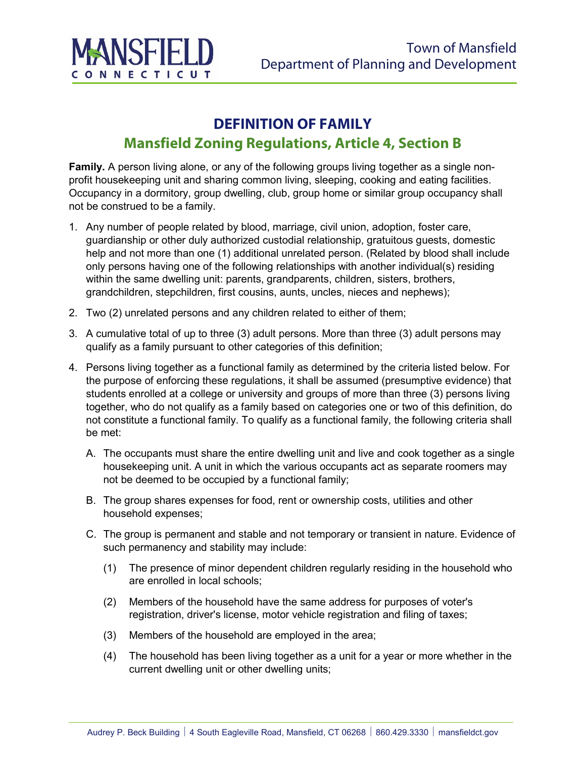

## **DEFINITION OF FAMILY Mansfield Zoning Regulations, Article 4, Section B**

**Family.** A person living alone, or any of the following groups living together as a single nonprofit housekeeping unit and sharing common living, sleeping, cooking and eating facilities. Occupancy in a dormitory, group dwelling, club, group home or similar group occupancy shall not be construed to be a family.

- 1. Any number of people related by blood, marriage, civil union, adoption, foster care, guardianship or other duly authorized custodial relationship, gratuitous guests, domestic help and not more than one (1) additional unrelated person. (Related by blood shall include only persons having one of the following relationships with another individual(s) residing within the same dwelling unit: parents, grandparents, children, sisters, brothers, grandchildren, stepchildren, first cousins, aunts, uncles, nieces and nephews);
- 2. Two (2) unrelated persons and any children related to either of them;
- 3. A cumulative total of up to three (3) adult persons. More than three (3) adult persons may qualify as a family pursuant to other categories of this definition;
- 4. Persons living together as a functional family as determined by the criteria listed below. For the purpose of enforcing these regulations, it shall be assumed (presumptive evidence) that students enrolled at a college or university and groups of more than three (3) persons living together, who do not qualify as a family based on categories one or two of this definition, do not constitute a functional family. To qualify as a functional family, the following criteria shall be met:
	- A. The occupants must share the entire dwelling unit and live and cook together as a single housekeeping unit. A unit in which the various occupants act as separate roomers may not be deemed to be occupied by a functional family;
	- B. The group shares expenses for food, rent or ownership costs, utilities and other household expenses;
	- C. The group is permanent and stable and not temporary or transient in nature. Evidence of such permanency and stability may include:
		- (1) The presence of minor dependent children regularly residing in the household who are enrolled in local schools;
		- (2) Members of the household have the same address for purposes of voter's registration, driver's license, motor vehicle registration and filing of taxes;
		- (3) Members of the household are employed in the area;
		- (4) The household has been living together as a unit for a year or more whether in the current dwelling unit or other dwelling units;